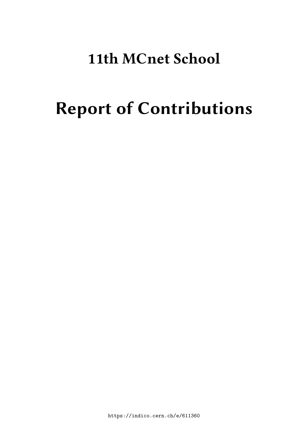# **11th MCnet School**

# **Report of Contributions**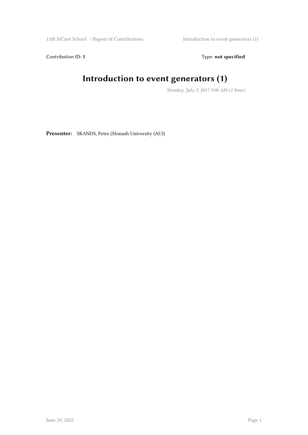11th MCnet School / Report of Contributions Introduction to event generators (1)

Contribution ID: 1 Type: **not specified** 

#### **Introduction to event generators (1)**

*Monday, July 3, 2017 9:00 AM (1 hour)*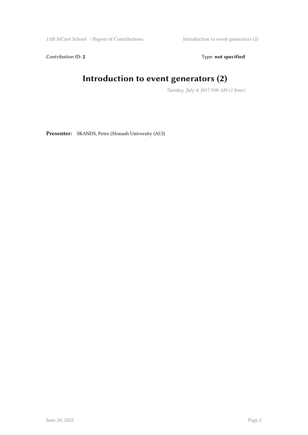11th MCnet School / Report of Contributions Introduction to event generators (2)

Contribution ID: 2 Type: **not specified** 

#### **Introduction to event generators (2)**

*Tuesday, July 4, 2017 9:00 AM (1 hour)*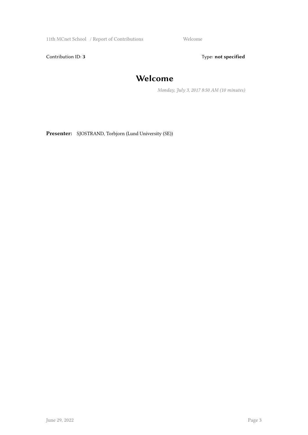11th MCnet School / Report of Contributions Welcome

Contribution ID: 3 Type: **not specified** 

#### **Welcome**

*Monday, July 3, 2017 8:50 AM (10 minutes)*

**Presenter:** SJOSTRAND, Torbjorn (Lund University (SE))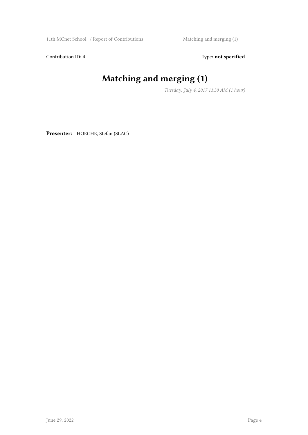11th MCnet School / Report of Contributions Matching and merging (1)

Contribution ID: 4 Type: **not specified** 

# **Matching and merging (1)**

*Tuesday, July 4, 2017 11:30 AM (1 hour)*

**Presenter:** HOECHE, Stefan (SLAC)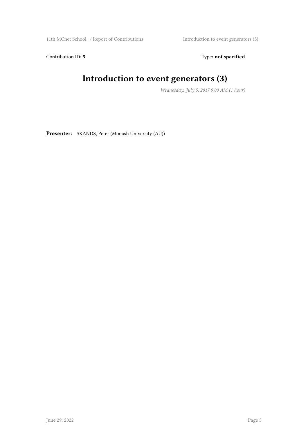11th MCnet School / Report of Contributions Introduction to event generators (3)

Contribution ID: 5 Type: not specified

#### **Introduction to event generators (3)**

*Wednesday, July 5, 2017 9:00 AM (1 hour)*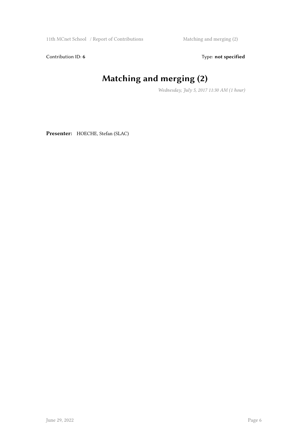11th MCnet School / Report of Contributions Matching and merging (2)

Contribution ID: 6 Type: not specified

# **Matching and merging (2)**

*Wednesday, July 5, 2017 11:30 AM (1 hour)*

**Presenter:** HOECHE, Stefan (SLAC)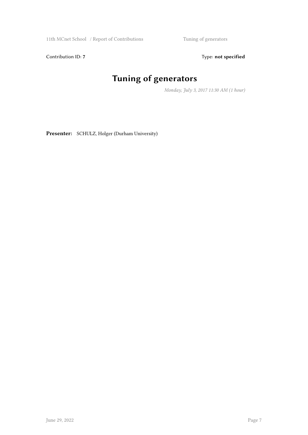11th MCnet School / Report of Contributions Tuning of generators

Contribution ID: 7 Type: **not specified** 

# **Tuning of generators**

*Monday, July 3, 2017 11:30 AM (1 hour)*

**Presenter:** SCHULZ, Holger (Durham University)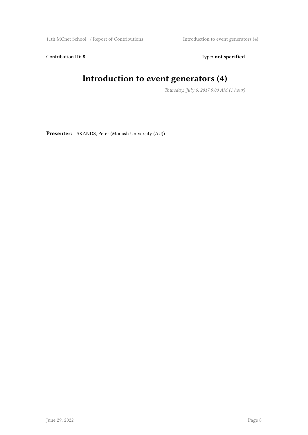11th MCnet School / Report of Contributions Introduction to event generators (4)

Contribution ID: 8 Type: **not specified** 

#### **Introduction to event generators (4)**

*Thursday, July 6, 2017 9:00 AM (1 hour)*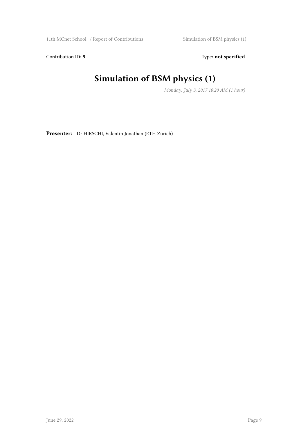11th MCnet School / Report of Contributions Simulation of BSM physics (1)

Contribution ID: 9 Type: **not specified** 

# **Simulation of BSM physics (1)**

*Monday, July 3, 2017 10:20 AM (1 hour)*

**Presenter:** Dr HIRSCHI, Valentin Jonathan (ETH Zurich)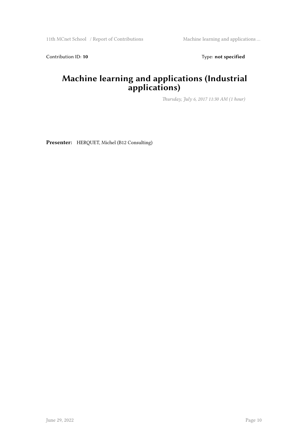Contribution ID: 10 **Type:** not specified

#### **Machine learning and applications (Industrial applications)**

*Thursday, July 6, 2017 11:30 AM (1 hour)*

**Presenter:** HERQUET, Michel (B12 Consulting)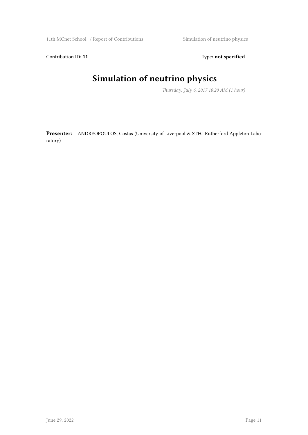11th MCnet School / Report of Contributions Simulation of neutrino physics

Contribution ID: 11 Type: **not specified** 

#### **Simulation of neutrino physics**

*Thursday, July 6, 2017 10:20 AM (1 hour)*

**Presenter:** ANDREOPOULOS, Costas (University of Liverpool & STFC Rutherford Appleton Laboratory)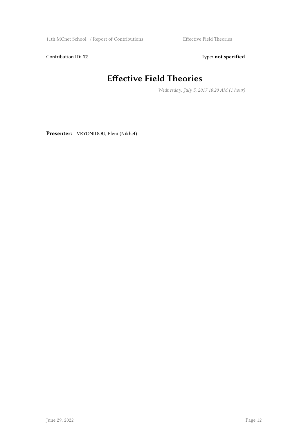11th MCnet School / Report of Contributions Effective Field Theories

Contribution ID: 12 Type: **not specified** 

### **Effective Field Theories**

*Wednesday, July 5, 2017 10:20 AM (1 hour)*

**Presenter:** VRYONIDOU, Eleni (Nikhef)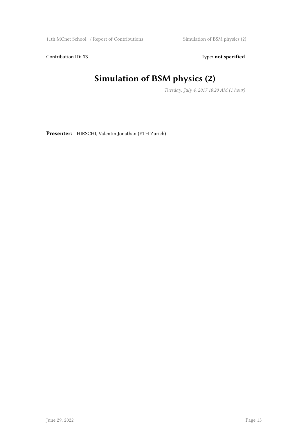11th MCnet School / Report of Contributions Simulation of BSM physics (2)

Contribution ID: 13 Type: **not specified** 

# **Simulation of BSM physics (2)**

*Tuesday, July 4, 2017 10:20 AM (1 hour)*

**Presenter:** HIRSCHI, Valentin Jonathan (ETH Zurich)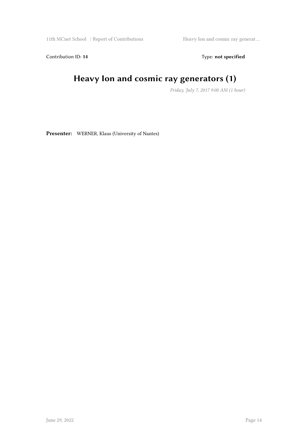11th MCnet School / Report of Contributions Heavy Ion and cosmic ray generat ...

Contribution ID: 14 Type: **not specified** 

## **Heavy Ion and cosmic ray generators (1)**

*Friday, July 7, 2017 9:00 AM (1 hour)*

**Presenter:** WERNER, Klaus (University of Nantes)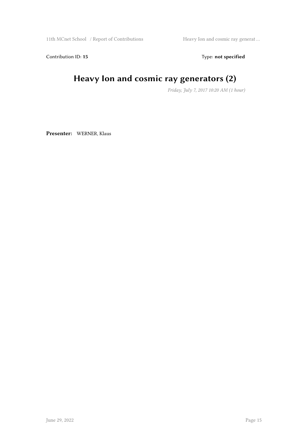11th MCnet School / Report of Contributions Heavy Ion and cosmic ray generat ...

Contribution ID: 15 Type: **not specified** 

# **Heavy Ion and cosmic ray generators (2)**

*Friday, July 7, 2017 10:20 AM (1 hour)*

**Presenter:** WERNER, Klaus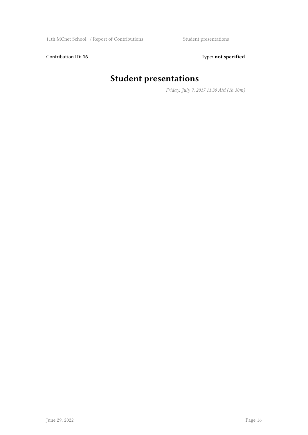Contribution ID: 16 Type: not specified

# **Student presentations**

*Friday, July 7, 2017 11:30 AM (1h 30m)*